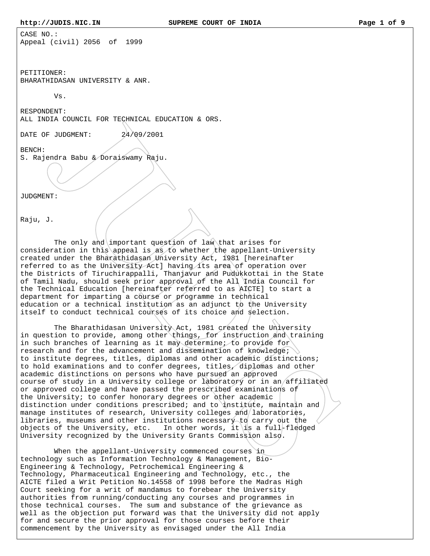CASE NO.: Appeal (civil) 2056 of 1999

PETITIONER: BHARATHIDASAN UNIVERSITY & ANR.

Vs.

RESPONDENT: ALL INDIA COUNCIL FOR TECHNICAL EDUCATION & ORS.

DATE OF JUDGMENT:  $24/09/2001$ 

BENCH:

S. Rajendra Babu & Doraiswamy Raju.

JUDGMENT:

Raju, J.

The only and important question of law that arises for consideration in this appeal is as to whether the appellant-University created under the Bharathidasan University Act, 1981 [hereinafter referred to as the University Act] having its area of operation over the Districts of Tiruchirappalli, Thanjavur and Pudukkottai in the State of Tamil Nadu, should seek prior approval of the All India Council for the Technical Education [hereinafter referred to as AICTE] to start a department for imparting a course or programme in technical education or a technical institution as an adjunct to the University itself to conduct technical courses of its choice and selection.

 The Bharathidasan University Act, 1981 created the University in question to provide, among other things, for instruction and training in such branches of learning as it may determine; to provide for research and for the advancement and dissemination of knowledge; to institute degrees, titles, diplomas and other academic distinctions; to hold examinations and to confer degrees, titles, diplomas and other academic distinctions on persons who have pursued an approved course of study in a University college or laboratory or in an affiliated or approved college and have passed the prescribed examinations of the University; to confer honorary degrees or other academic distinction under conditions prescribed; and to institute, maintain and manage institutes of research, University colleges and laboratories, libraries, museums and other institutions necessary to carry out the objects of the University, etc. In other words, it is a full-fledged University recognized by the University Grants Commission also.

 When the appellant-University commenced courses in technology such as Information Technology & Management, Bio-Engineering & Technology, Petrochemical Engineering & Technology, Pharmaceutical Engineering and Technology, etc., the AICTE filed a Writ Petition No.14558 of 1998 before the Madras High Court seeking for a writ of mandamus to forebear the University authorities from running/conducting any courses and programmes in those technical courses. The sum and substance of the grievance as well as the objection put forward was that the University did not apply for and secure the prior approval for those courses before their commencement by the University as envisaged under the All India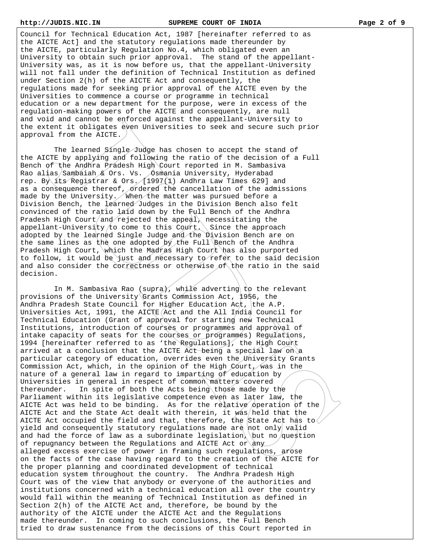Council for Technical Education Act, 1987 [hereinafter referred to as the AICTE Act] and the statutory regulations made thereunder by the AICTE, particularly Regulation No.4, which obligated even an University to obtain such prior approval. The stand of the appellant-University was, as it is now before us, that the appellant-University will not fall under the definition of Technical Institution as defined under Section 2(h) of the AICTE Act and consequently, the regulations made for seeking prior approval of the AICTE even by the Universities to commence a course or programme in technical education or a new department for the purpose, were in excess of the regulation-making powers of the AICTE and consequently, are null and void and cannot be enforced against the appellant-University to the extent it obligates even Universities to seek and secure such prior approval from the AICTE.

 The learned Single Judge has chosen to accept the stand of the AICTE by applying and following the ratio of the decision of a Full Bench of the Andhra Pradesh High Court reported in M. Sambasiva Rao alias/Sambaiah & Ors. Vs. Osmania University, Hyderabad rep. By its Registrar & Ors.  $(1997(1)$  Andhra Law Times 629] and as a consequence thereof, ordered the cancellation of the admissions made by the University. When the matter was pursued before a Division Bench, the learned Judges in the Division Bench also felt convinced of the ratio laid down by the Full Bench of the Andhra Pradesh High Court/and rejected the appeal) necessitating the appellant-University to come to this Court. Since the approach adopted by the learned Single Judge and the Division Bench are on the same lines as the one adopted by the Full Bench of the Andhra Pradesh High Court, which the Madras High Court has also purported to follow, it would be just and necessary to refer to the said decision and also consider the correctness or otherwise of the ratio in the said decision.

In M. Sambasiva Rao (supra), while adverting to the relevant provisions of the University Grants Commission Act, 1956, the Andhra Pradesh State Council for Higher Education Act, the A.P. Universities Act, 1991, the AICTE Act and the All India Council for Technical Education (Grant of approval for starting new Technical Institutions, introduction of courses or programmes and approval of intake capacity of seats for the courses or programmes) Regulations, 1994 [hereinafter referred to as 'the Regulations], the High Court arrived at a conclusion that the AICTE Act being a special law on a particular category of education, overrides even the University Grants Commission Act, which, in the opinion of the High Court, was in the nature of a general law in regard to imparting of education by Universities in general in respect of common matters covered thereunder. In spite of both the Acts being those made by the Parliament within its legislative competence even as later law, the AICTE Act was held to be binding. As for the relative operation of the AICTE Act and the State Act dealt with therein, it was/held that the AICTE Act occupied the field and that, therefore, the State Act has to yield and consequently statutory regulations made are not only valid and had the force of law as a subordinate legislation, but no question of repugnancy between the Regulations and AICTE Act or any alleged excess exercise of power in framing such regulations, arose on the facts of the case having regard to the creation of the AICTE for the proper planning and coordinated development of technical education system throughout the country. The Andhra Pradesh High Court was of the view that anybody or everyone of the authorities and institutions concerned with a technical education all over the country would fall within the meaning of Technical Institution as defined in Section 2(h) of the AICTE Act and, therefore, be bound by the authority of the AICTE under the AICTE Act and the Regulations made thereunder. In coming to such conclusions, the Full Bench tried to draw sustenance from the decisions of this Court reported in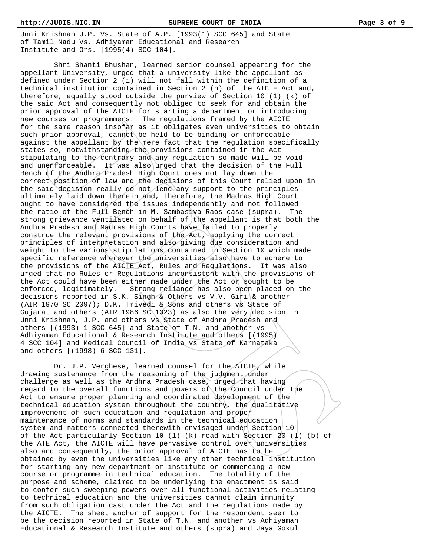Unni Krishnan J.P. Vs. State of A.P. [1993(1) SCC 645] and State of Tamil Nadu Vs. Adhiyaman Educational and Research Institute and Ors. [1995(4) SCC 104].

 Shri Shanti Bhushan, learned senior counsel appearing for the appellant-University, urged that a university like the appellant as defined under Section 2 (i) will not fall within the definition of a technical institution contained in Section 2 (h) of the AICTE Act and, therefore, equally stood outside the purview of Section 10 (1) (k) of the said Act and consequently not obliged to seek for and obtain the prior approval of the AICTE for starting a department or introducing new courses or programmers. The regulations framed by the AICTE for the same reason insofar as it obligates even universities to obtain such prior approval, cannot be held to be binding or enforceable against the appellant by the mere fact that the regulation specifically states so, notwithstanding the provisions contained in the Act stipulating to the contrary and any regulation so made will be void and unenforceable. It was also urged that the decision of the Full Bench of the Andhra Pradesh High Court does not lay down the correct position of law and the decisions of this Court relied upon in the said decision really do not lend any support to the principles ultimately laid down therein and, therefore, the Madras High Court ought to have considered the issues independently and not followed the ratio of the Full Bench in M. Sambasiva Raos case (supra). The strong grievance ventilated on behalf of the appellant is that both the Andhra Pradesh and Madras High Courts have failed to properly construe the relevant provisions of the Act, applying the correct principles of interpretation and also giving due consideration and weight to the various stipulations contained in Section 10 which made specific reference wherever the universities also have to adhere to the provisions of the AICTE Act, Rules and Regulations. It was also urged that no Rules or Regulations inconsistent with the provisions of the Act could have been either made under the Act or sought to be enforced, legitimately. Strong reliance has also been placed on the decisions reported in S.K. Singh & Others vs V.V. Giri & another (AIR 1970 SC 2097); D.K. Trivedi & Sons and others vs State of Gujarat and others (AIR 1986 SC 1323) as also the very decision in Unni Krishnan, J.P. and others vs State of Andhra Pradesh and others [(1993) 1 SCC 645] and State of T.N. and another vs Adhiyaman Educational & Research Institute and others [(1995) 4 SCC 104] and Medical Council of India vs State of Karnataka and others [(1998) 6 SCC 131].

 Dr. J.P. Verghese, learned counsel for the AICTE, while drawing sustenance from the reasoning of the judgment under challenge as well as the Andhra Pradesh case, urged that having regard to the overall functions and powers of the Council under the Act to ensure proper planning and coordinated development of the technical education system throughout the country, the qualitative improvement of such education and regulation and proper maintenance of norms and standards in the technical education system and matters connected therewith envisaged under Section 10 of the Act particularly Section 10 (1) (k) read with Section  $20$  (1) (b) of the ATE Act, the AICTE will have pervasive control over universities also and consequently, the prior approval of AICTE has to be obtained by even the universities like any other technical institution for starting any new department or institute or commencing a new course or programme in technical education. The totality of the purpose and scheme, claimed to be underlying the enactment is said to confer such sweeping powers over all functional activities relating to technical education and the universities cannot claim immunity from such obligation cast under the Act and the regulations made by the AICTE. The sheet anchor of support for the respondent seem to be the decision reported in State of T.N. and another vs Adhiyaman Educational & Research Institute and others (supra) and Jaya Gokul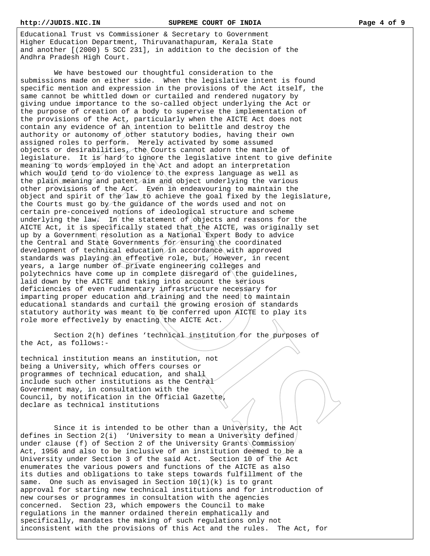Educational Trust vs Commissioner & Secretary to Government Higher Education Department, Thiruvanathapuram, Kerala State and another [(2000) 5 SCC 231], in addition to the decision of the Andhra Pradesh High Court.

 We have bestowed our thoughtful consideration to the submissions made on either side. When the legislative intent is found specific mention and expression in the provisions of the Act itself, the same cannot be whittled down or curtailed and rendered nugatory by giving undue importance to the so-called object underlying the Act or the purpose of creation of a body to supervise the implementation of the provisions of the Act, particularly when the AICTE Act does not contain any evidence of an intention to belittle and destroy the authority or autonomy of other statutory bodies, having their own assigned roles to perform. Merely activated by some assumed objects or desirabilities, the Courts cannot adorn the mantle of legislature. It is hard to ignore the legislative intent to give definite meaning to words employed in the Act and adopt an interpretation which would tend to do violence to the express language as well as the plain meaning and patent aim and object underlying the various other provisions of the Act. Even in endeavouring to maintain the object and spirit of the law to achieve the goal fixed by the legislature, the Courts must go by the guidance of the words used and not on certain pre-conceived notions of ideological structure and scheme underlying the law. In the statement of  $\int$ objects and reasons for the AICTE Act, it is specifically stated that the AICTE, was originally set up by a Government resolution as a National Expert Body to advice the Central and State Governments for ensuring the coordinated development of technical education in accordance with approved standards was playing an effective role, but, However, in recent years, a large number of private engineering colleges and polytechnics have come up in complete disregard of the guidelines, laid down by the AICTE and taking into account the serious deficiencies of even rudimentary infrastructure necessary for imparting proper education and training and the need to maintain educational standards and curtail the growing erosion of standards statutory authority was meant to be conferred upon AICTE to play its role more effectively by enacting the AICTE Act.

 Section 2(h) defines 'technical institution for the purposes of the Act, as follows:-

technical institution means an institution, not being a University, which offers courses or programmes of technical education, and shall include such other institutions as the Central Government may, in consultation with the Council, by notification in the Official Gazette, declare as technical institutions

 Since it is intended to be other than a University, the Act defines in Section  $2(i)$  'University to mean a University defined under clause (f) of Section 2 of the University Grants Commission Act, 1956 and also to be inclusive of an institution deemed to be a University under Section 3 of the said Act. Section 10 of the Act enumerates the various powers and functions of the AICTE as also its duties and obligations to take steps towards fulfillment of the same. One such as envisaged in Section 10(1)(k) is to grant approval for starting new technical institutions and for introduction of new courses or programmes in consultation with the agencies concerned. Section 23, which empowers the Council to make regulations in the manner ordained therein emphatically and specifically, mandates the making of such regulations only not inconsistent with the provisions of this Act and the rules. The Act, for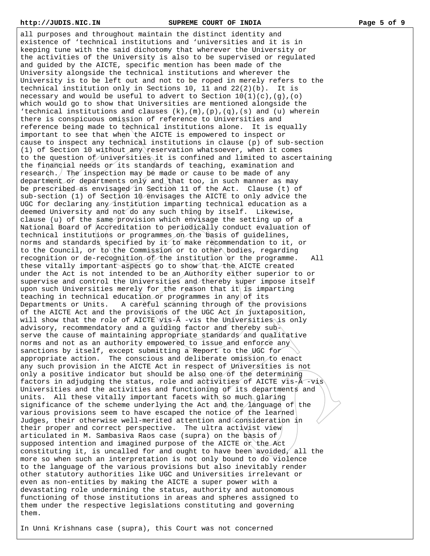all purposes and throughout maintain the distinct identity and existence of 'technical institutions and 'universities and it is in keeping tune with the said dichotomy that wherever the University or the activities of the University is also to be supervised or regulated and guided by the AICTE, specific mention has been made of the University alongside the technical institutions and wherever the University is to be left out and not to be roped in merely refers to the technical institution only in Sections 10, 11 and 22(2)(b). It is necessary and would be useful to advert to Section  $10(1)(c)$ ,  $(g)$ ,  $(o)$ which would go to show that Universities are mentioned alongside the 'technical institutions and clauses  $(k)$ ,  $(m)$ ,  $(p)$ ,  $(q)$ ,  $(s)$  and  $(u)$  wherein there is conspicuous omission of reference to Universities and reference being made to technical institutions alone. It is equally important to see that when the AICTE is empowered to inspect or cause to inspect any technical institutions in clause (p) of sub-section (1) of Section 10 without any reservation whatsoever, when it comes to the question of universities it is confined and limited to ascertaining the financial needs or its standards of teaching, examination and research. The inspection may be made or cause to be made of any department or departments only and that too, in such manner as may be prescribed as envisaged in Section 11 of the Act. Clause (t) of sub-section (1) of Section 10 envisages the AICTE to only advice the UGC for declaring any institution imparting technical education as a deemed University and not do any such thing by itself. Likewise, clause (u) of the same provision which envisage the setting up of a National Board of Accreditation to periodically conduct evaluation of technical institutions or programmes on the basis of guidelines, norms and standards specified by it to make recommendation to it, or to the Council, or to the Commission or to other bodies, regarding recognition or de-recognition of the institution or the programme. All these vitally important aspects go to show that the AICTE created under the Act is not intended to be an Authority either superior to or supervise and control the Universities and thereby super impose itself upon such Universities merely for the reason that it is imparting teaching in technical education or programmes in any of its Departments or Units. A careful scanning through of the provisions of the AICTE Act and the provisions of the UGC Act in juxtaposition, will show that the role of AICTE vis-A -vis the Universities is only advisory, recommendatory and a guiding factor and thereby subserve the cause of maintaining appropriate standards and qualitative norms and not as an authority empowered to issue and enforce any sanctions by itself, except submitting a Report to the UGC for appropriate action. The conscious and deliberate omission to enact any such provision in the AICTE Act in respect of Universities is not only a positive indicator but should be also one of the determining factors in adjudging the status, role and activities of AICTE vis-Ã -vis Universities and the activities and functioning of its departments and units. All these vitally important facets with so much glaring significance of the scheme underlying the Act and the language of the various provisions seem to have escaped the notice of the learned Judges, their otherwise well-merited attention and consideration in their proper and correct perspective. The ultra activist view articulated in M. Sambasiva Raos case (supra) on the basis of supposed intention and imagined purpose of the AICTE or the Act constituting it, is uncalled for and ought to have been avoided, all the more so when such an interpretation is not only bound to do violence to the language of the various provisions but also inevitably render other statutory authorities like UGC and Universities irrelevant or even as non-entities by making the AICTE a super power with a devastating role undermining the status, authority and autonomous functioning of those institutions in areas and spheres assigned to them under the respective legislations constituting and governing them.

In Unni Krishnans case (supra), this Court was not concerned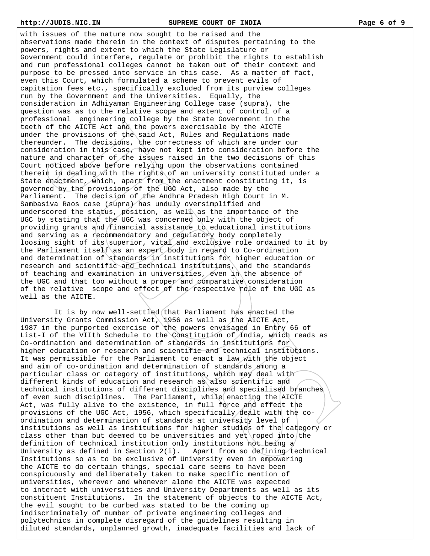with issues of the nature now sought to be raised and the observations made therein in the context of disputes pertaining to the powers, rights and extent to which the State Legislature or Government could interfere, regulate or prohibit the rights to establish and run professional colleges cannot be taken out of their context and purpose to be pressed into service in this case. As a matter of fact, even this Court, which formulated a scheme to prevent evils of capitation fees etc., specifically excluded from its purview colleges run by the Government and the Universities. Equally, the consideration in Adhiyaman Engineering College case (supra), the question was as to the relative scope and extent of control of a professional engineering college by the State Government in the teeth of the AICTE Act and the powers exercisable by the AICTE under the provisions of the said Act, Rules and Regulations made thereunder. The decisions, the correctness of which are under our consideration in this case, have not kept into consideration before the nature and character of the issues raised in the two decisions of this Court noticed above before relying upon the observations contained therein in dealing with the rights of an university constituted under a State enactment, which, apart from the enactment constituting it, is governed by the provisions of the UGC Act, also made by the Parliament. The decision of the Andhra Pradesh High Court in M. Sambasiva Raos case (supra) has unduly oversimplified and underscored the status, position, as well as the importance of the UGC by stating that the UGC was concerned only with the object of providing grants and financial assistance to educational institutions and serving as a recommendatory and regulatory body completely loosing sight of its superior, vital and exclusive role ordained to it by the Parliament itself as an expert body in regard to Co-ordination and determination of standards in institutions for higher education or research and scientific and technical institutions, and the standards of teaching and examination in universities, even in the absence of the UGC and that too without a proper and comparative consideration of the relative scope and effect of the respective role of the UGC as well as the AICTE.

 It is by now well-settled that Parliament has enacted the University Grants Commission Act, 1956 as well as the AICTE Act, 1987 in the purported exercise of the powers envisaged in Entry 66 of List-I of the VIIth Schedule to the Constitution of India, which reads as Co-ordination and determination of standards in institutions for higher education or research and scientific and technical institutions. It was permissible for the Parliament to enact a law with the object and aim of co-ordination and determination of standards among a particular class or category of institutions, which may deal with different kinds of education and research as also scientific and technical institutions of different disciplines and specialised branches of even such disciplines. The Parliament, while enacting the AICTE Act, was fully alive to the existence, in full force and effect the provisions of the UGC Act, 1956, which specifically dealt with the coordination and determination of standards at university level of institutions as well as institutions for higher studies of the category or class other than but deemed to be universities and yet roped into the definition of technical institution only institutions not being a University as defined in Section 2(i). Apart from so defining technical Institutions so as to be exclusive of University even in empowering the AICTE to do certain things, special care seems to have been conspicuously and deliberately taken to make specific mention of universities, wherever and whenever alone the AICTE was expected to interact with universities and University Departments as well as its constituent Institutions. In the statement of objects to the AICTE Act, the evil sought to be curbed was stated to be the coming up indiscriminately of number of private engineering colleges and polytechnics in complete disregard of the guidelines resulting in diluted standards, unplanned growth, inadequate facilities and lack of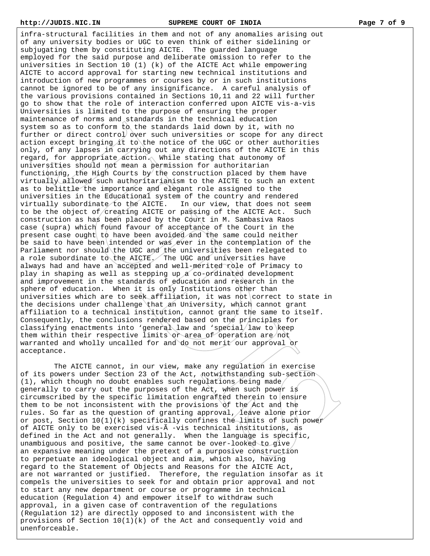infra-structural facilities in them and not of any anomalies arising out of any university bodies or UGC to even think of either sidelining or subjugating them by constituting AICTE. The guarded language employed for the said purpose and deliberate omission to refer to the universities in Section 10 (1) (k) of the AICTE Act while empowering AICTE to accord approval for starting new technical institutions and introduction of new programmes or courses by or in such institutions cannot be ignored to be of any insignificance. A careful analysis of the various provisions contained in Sections 10,11 and 22 will further go to show that the role of interaction conferred upon AICTE vis-a-vis Universities is limited to the purpose of ensuring the proper maintenance of norms and standards in the technical education system so as to conform to the standards laid down by it, with no further or direct control over such universities or scope for any direct action except bringing it to the notice of the UGC or other authorities only, of any lapses in carrying out any directions of the AICTE in this regard, for appropriate action. While stating that autonomy of universities should not mean a permission for authoritarian functioning, the High Courts by the construction placed by them have virtually allowed such authoritarianism to the AICTE to such an extent as to belittle the importance and elegant role assigned to the universities in the Educational system of the country and rendered virtually subordinate to the AICTE. In our view, that does not seem to be the object of creating AICTE or passing of the AICTE Act. Such construction as has been placed by the Court in M. Sambasiva Raos case (supra) which found favour of acceptance of the Court in the present case ought to have been avoided and the same could neither be said to have been intended or was ever in the contemplation of the Parliament nor should the UGC and the universities been relegated to a role subordinate to the AICTE. The UGC and universities have always had and have an accepted and well-merited role of Primacy to play in shaping as well as stepping up a co-ordinated development and improvement in the standards of education and research in the sphere of education. When it is only Institutions other than universities which are to seek affiliation, it was not correct to state in the decisions under challenge that an University, which cannot grant affiliation to a technical institution, cannot grant the same to itself. Consequently, the conclusions rendered based on the principles for classifying enactments into 'general law and 'special law to keep them within their respective limits or area of operation are not warranted and wholly uncalled for and do not merit our approval or acceptance.

 The AICTE cannot, in our view, make any regulation in exercise of its powers under Section 23 of the Act, notwithstanding sub-section (1), which though no doubt enables such regulations being made generally to carry out the purposes of the Act, when such power is circumscribed by the specific limitation engrafted therein to ensure them to be not inconsistent with the provisions of the Act and the rules. So far as the question of granting approval, leave alone prior or post, Section  $10(1)(k)$  specifically confines the limits of such power of AICTE only to be exercised vis-Ã -vis technical institutions, as defined in the Act and not generally. When the language is specific, unambiguous and positive, the same cannot be over-looked to give an expansive meaning under the pretext of a purposive construction to perpetuate an ideological object and aim, which also, having regard to the Statement of Objects and Reasons for the AICTE Act, are not warranted or justified. Therefore, the regulation insofar as it compels the universities to seek for and obtain prior approval and not to start any new department or course or programme in technical education (Regulation 4) and empower itself to withdraw such approval, in a given case of contravention of the regulations (Regulation 12) are directly opposed to and inconsistent with the provisions of Section  $10(1)(k)$  of the Act and consequently void and unenforceable.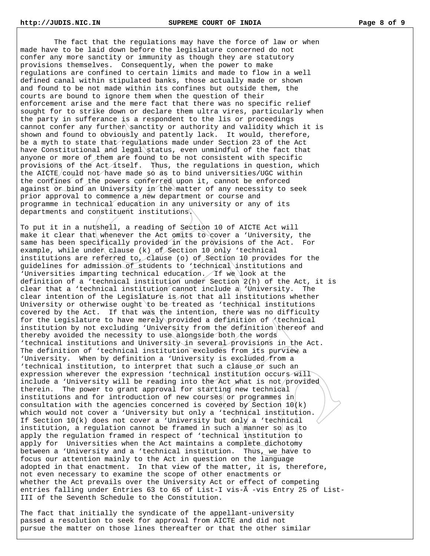The fact that the regulations may have the force of law or when made have to be laid down before the legislature concerned do not confer any more sanctity or immunity as though they are statutory provisions themselves. Consequently, when the power to make regulations are confined to certain limits and made to flow in a well defined canal within stipulated banks, those actually made or shown and found to be not made within its confines but outside them, the courts are bound to ignore them when the question of their enforcement arise and the mere fact that there was no specific relief sought for to strike down or declare them ultra vires, particularly when the party in sufferance is a respondent to the lis or proceedings cannot confer any further sanctity or authority and validity which it is shown and found to obviously and patently lack. It would, therefore, be a myth to state that regulations made under Section 23 of the Act have Constitutional and legal status, even unmindful of the fact that anyone or more of them are found to be not consistent with specific provisions of the Act itself. Thus, the regulations in question, which the AICTE/could not have made so as to bind universities/UGC within the confines of the powers conferred upon it, cannot be enforced against or bind an University in the matter of any necessity to seek prior approval to commence a new department or course and programme in technical education in any university or any of its departments and constituent institutions.

To put it in a nutshell, a reading of Section 10 of AICTE Act will make it clear that whenever the Act omits to cover a 'University, the same has been specifically provided in the provisions of the Act. For example, while under clause (k) of Section 10 only 'technical institutions are referred to, clause (o) of Section 10 provides for the guidelines for admission of students to 'technical institutions and 'Universities imparting technical education. If we look at the definition of a 'technical institution under Section 2(h) of the Act, it is clear that a 'technical institution cannot include a 'University. The clear intention of the Legislature is not that all institutions whether University or otherwise ought to be treated as 'technical institutions covered by the Act. If that was the intention, there was no difficulty for the Legislature to have merely provided a definition of 'technical institution by not excluding 'University from the definition thereof and thereby avoided the necessity to use alongside both the words 'technical institutions and University in several provisions in the Act. The definition of 'technical institution excludes from its purview a 'University. When by definition a 'University is excluded from a 'technical institution, to interpret that such a clause or such an expression wherever the expression 'technical institution occurs will include a 'University will be reading into the Act what is not provided therein. The power to grant approval for starting new technical institutions and for introduction of new courses or programmes in consultation with the agencies concerned is covered by Section  $10(k)$ which would not cover a 'University but only a 'technical institution. If Section  $10(k)$  does not cover a 'University but only a 'technical institution, a regulation cannot be framed in such a manner so as to apply the regulation framed in respect of 'technical institution to apply for Universities when the Act maintains a complete dichotomy between a 'University and a 'technical institution. Thus, we have to focus our attention mainly to the Act in question on the language adopted in that enactment. In that view of the matter, it is, therefore, not even necessary to examine the scope of other enactments or whether the Act prevails over the University Act or effect of competing entries falling under Entries 63 to 65 of List-I vis-Ã -vis Entry 25 of List-III of the Seventh Schedule to the Constitution.

The fact that initially the syndicate of the appellant-university passed a resolution to seek for approval from AICTE and did not pursue the matter on those lines thereafter or that the other similar